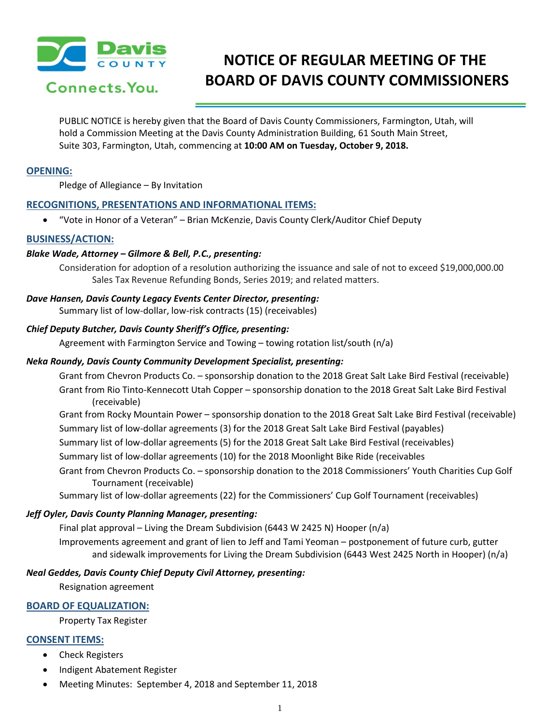

# **NOTICE OF REGULAR MEETING OF THE BOARD OF DAVIS COUNTY COMMISSIONERS**

PUBLIC NOTICE is hereby given that the Board of Davis County Commissioners, Farmington, Utah, will hold a Commission Meeting at the Davis County Administration Building, 61 South Main Street, Suite 303, Farmington, Utah, commencing at **10:00 AM on Tuesday, October 9, 2018.**

# **OPENING:**

Pledge of Allegiance – By Invitation

# **RECOGNITIONS, PRESENTATIONS AND INFORMATIONAL ITEMS:**

• "Vote in Honor of a Veteran" – Brian McKenzie, Davis County Clerk/Auditor Chief Deputy

# **BUSINESS/ACTION:**

# *Blake Wade, Attorney – Gilmore & Bell, P.C., presenting:*

Consideration for adoption of a resolution authorizing the issuance and sale of not to exceed \$19,000,000.00 Sales Tax Revenue Refunding Bonds, Series 2019; and related matters.

# *Dave Hansen, Davis County Legacy Events Center Director, presenting:*

Summary list of low-dollar, low-risk contracts (15) (receivables)

# *Chief Deputy Butcher, Davis County Sheriff's Office, presenting:*

Agreement with Farmington Service and Towing – towing rotation list/south (n/a)

# *Neka Roundy, Davis County Community Development Specialist, presenting:*

Grant from Chevron Products Co. – sponsorship donation to the 2018 Great Salt Lake Bird Festival (receivable) Grant from Rio Tinto-Kennecott Utah Copper – sponsorship donation to the 2018 Great Salt Lake Bird Festival (receivable)

Grant from Rocky Mountain Power – sponsorship donation to the 2018 Great Salt Lake Bird Festival (receivable) Summary list of low-dollar agreements (3) for the 2018 Great Salt Lake Bird Festival (payables)

Summary list of low-dollar agreements (5) for the 2018 Great Salt Lake Bird Festival (receivables)

Summary list of low-dollar agreements (10) for the 2018 Moonlight Bike Ride (receivables

Grant from Chevron Products Co. – sponsorship donation to the 2018 Commissioners' Youth Charities Cup Golf Tournament (receivable)

Summary list of low-dollar agreements (22) for the Commissioners' Cup Golf Tournament (receivables)

#### *Jeff Oyler, Davis County Planning Manager, presenting:*

Final plat approval – Living the Dream Subdivision (6443 W 2425 N) Hooper (n/a)

Improvements agreement and grant of lien to Jeff and Tami Yeoman – postponement of future curb, gutter and sidewalk improvements for Living the Dream Subdivision (6443 West 2425 North in Hooper) (n/a)

#### *Neal Geddes, Davis County Chief Deputy Civil Attorney, presenting:*

Resignation agreement

# **BOARD OF EQUALIZATION:**

Property Tax Register

# **CONSENT ITEMS:**

- Check Registers
- Indigent Abatement Register
- Meeting Minutes: September 4, 2018 and September 11, 2018